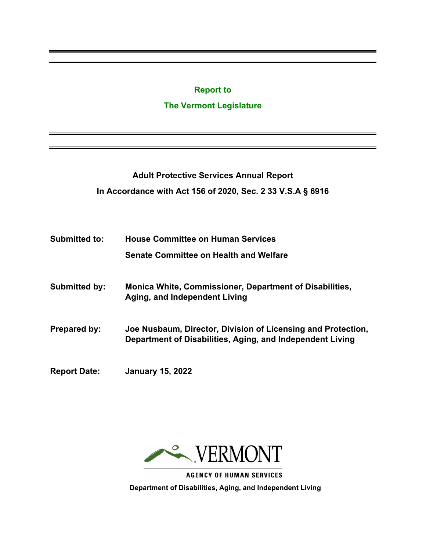#### **Report to**

### **The Vermont Legislature**

**Adult Protective Services Annual Report In Accordance with Act 156 of 2020, Sec. 2 33 V.S.A § 6916**

- **Submitted to: House Committee on Human Services Senate Committee on Health and Welfare**
- **Submitted by: Monica White, Commissioner, Department of Disabilities, Aging, and Independent Living**
- **Prepared by: Joe Nusbaum, Director, Division of Licensing and Protection, Department of Disabilities, Aging, and Independent Living**
- **Report Date: January 15, 2022**



**AGENCY OF HUMAN SERVICES Department of Disabilities, Aging, and Independent Living**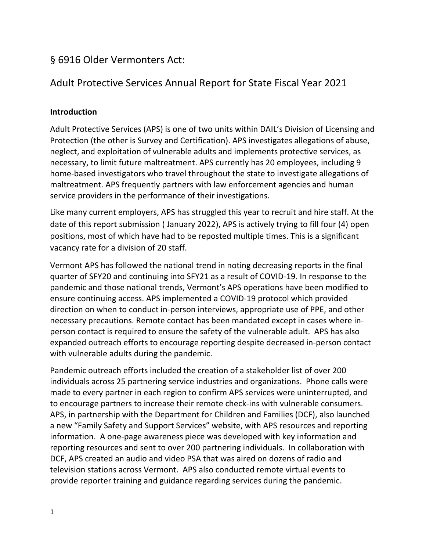# § 6916 Older Vermonters Act:

# Adult Protective Services Annual Report for State Fiscal Year 2021

# **Introduction**

Adult Protective Services (APS) is one of two units within DAIL's Division of Licensing and Protection (the other is Survey and Certification). APS investigates allegations of abuse, neglect, and exploitation of vulnerable adults and implements protective services, as necessary, to limit future maltreatment. APS currently has 20 employees, including 9 home-based investigators who travel throughout the state to investigate allegations of maltreatment. APS frequently partners with law enforcement agencies and human service providers in the performance of their investigations.

Like many current employers, APS has struggled this year to recruit and hire staff. At the date of this report submission ( January 2022), APS is actively trying to fill four (4) open positions, most of which have had to be reposted multiple times. This is a significant vacancy rate for a division of 20 staff.

Vermont APS has followed the national trend in noting decreasing reports in the final quarter of SFY20 and continuing into SFY21 as a result of COVID-19. In response to the pandemic and those national trends, Vermont's APS operations have been modified to ensure continuing access. APS implemented a COVID-19 protocol which provided direction on when to conduct in-person interviews, appropriate use of PPE, and other necessary precautions. Remote contact has been mandated except in cases where inperson contact is required to ensure the safety of the vulnerable adult. APS has also expanded outreach efforts to encourage reporting despite decreased in-person contact with vulnerable adults during the pandemic.

Pandemic outreach efforts included the creation of a stakeholder list of over 200 individuals across 25 partnering service industries and organizations. Phone calls were made to every partner in each region to confirm APS services were uninterrupted, and to encourage partners to increase their remote check-ins with vulnerable consumers. APS, in partnership with the Department for Children and Families (DCF), also launched a new "Family Safety and Support Services" website, with APS resources and reporting information. A one-page awareness piece was developed with key information and reporting resources and sent to over 200 partnering individuals. In collaboration with DCF, APS created an audio and video PSA that was aired on dozens of radio and television stations across Vermont. APS also conducted remote virtual events to provide reporter training and guidance regarding services during the pandemic.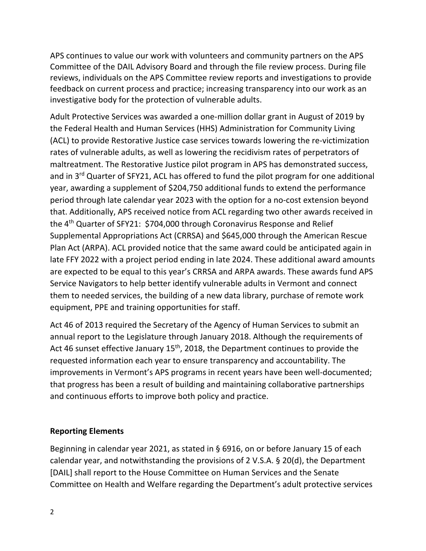APS continues to value our work with volunteers and community partners on the APS Committee of the DAIL Advisory Board and through the file review process. During file reviews, individuals on the APS Committee review reports and investigations to provide feedback on current process and practice; increasing transparency into our work as an investigative body for the protection of vulnerable adults.

Adult Protective Services was awarded a one-million dollar grant in August of 2019 by the Federal Health and Human Services (HHS) Administration for Community Living (ACL) to provide Restorative Justice case services towards lowering the re-victimization rates of vulnerable adults, as well as lowering the recidivism rates of perpetrators of maltreatment. The Restorative Justice pilot program in APS has demonstrated success, and in 3rd Quarter of SFY21, ACL has offered to fund the pilot program for one additional year, awarding a supplement of \$204,750 additional funds to extend the performance period through late calendar year 2023 with the option for a no-cost extension beyond that. Additionally, APS received notice from ACL regarding two other awards received in the 4th Quarter of SFY21: \$704,000 through Coronavirus Response and Relief Supplemental Appropriations Act (CRRSA) and \$645,000 through the American Rescue Plan Act (ARPA). ACL provided notice that the same award could be anticipated again in late FFY 2022 with a project period ending in late 2024. These additional award amounts are expected to be equal to this year's CRRSA and ARPA awards. These awards fund APS Service Navigators to help better identify vulnerable adults in Vermont and connect them to needed services, the building of a new data library, purchase of remote work equipment, PPE and training opportunities for staff.

Act 46 of 2013 required the Secretary of the Agency of Human Services to submit an annual report to the Legislature through January 2018. Although the requirements of Act 46 sunset effective January  $15<sup>th</sup>$ , 2018, the Department continues to provide the requested information each year to ensure transparency and accountability. The improvements in Vermont's APS programs in recent years have been well-documented; that progress has been a result of building and maintaining collaborative partnerships and continuous efforts to improve both policy and practice.

## **Reporting Elements**

Beginning in calendar year 2021, as stated in § 6916, on or before January 15 of each calendar year, and notwithstanding the provisions of 2 V.S.A. § 20(d), the Department [DAIL] shall report to the House Committee on Human Services and the Senate Committee on Health and Welfare regarding the Department's adult protective services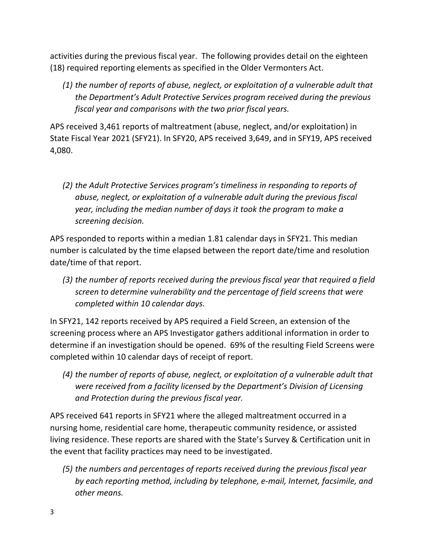activities during the previous fiscal year. The following provides detail on the eighteen (18) required reporting elements as specified in the Older Vermonters Act.

*(1) the number of reports of abuse, neglect, or exploitation of a vulnerable adult that the Department's Adult Protective Services program received during the previous fiscal year and comparisons with the two prior fiscal years.*

APS received 3,461 reports of maltreatment (abuse, neglect, and/or exploitation) in State Fiscal Year 2021 (SFY21). In SFY20, APS received 3,649, and in SFY19, APS received 4,080.

*(2) the Adult Protective Services program's timeliness in responding to reports of abuse, neglect, or exploitation of a vulnerable adult during the previous fiscal year, including the median number of days it took the program to make a screening decision.*

APS responded to reports within a median 1.81 calendar days in SFY21. This median number is calculated by the time elapsed between the report date/time and resolution date/time of that report.

*(3) the number of reports received during the previous fiscal year that required a field screen to determine vulnerability and the percentage of field screens that were completed within 10 calendar days.*

In SFY21, 142 reports received by APS required a Field Screen, an extension of the screening process where an APS Investigator gathers additional information in order to determine if an investigation should be opened. 69% of the resulting Field Screens were completed within 10 calendar days of receipt of report.

*(4) the number of reports of abuse, neglect, or exploitation of a vulnerable adult that were received from a facility licensed by the Department's Division of Licensing and Protection during the previous fiscal year.*

APS received 641 reports in SFY21 where the alleged maltreatment occurred in a nursing home, residential care home, therapeutic community residence, or assisted living residence. These reports are shared with the State's Survey & Certification unit in the event that facility practices may need to be investigated.

*(5) the numbers and percentages of reports received during the previous fiscal year by each reporting method, including by telephone, e-mail, Internet, facsimile, and other means.*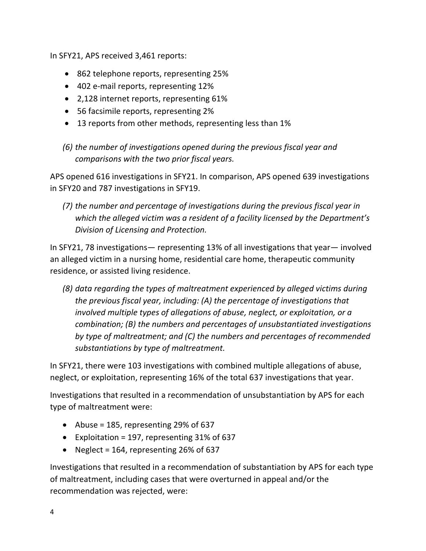In SFY21, APS received 3,461 reports:

- 862 telephone reports, representing 25%
- 402 e-mail reports, representing 12%
- 2,128 internet reports, representing 61%
- 56 facsimile reports, representing 2%
- 13 reports from other methods, representing less than 1%
- *(6) the number of investigations opened during the previous fiscal year and comparisons with the two prior fiscal years.*

APS opened 616 investigations in SFY21. In comparison, APS opened 639 investigations in SFY20 and 787 investigations in SFY19.

*(7) the number and percentage of investigations during the previous fiscal year in which the alleged victim was a resident of a facility licensed by the Department's Division of Licensing and Protection.*

In SFY21, 78 investigations— representing 13% of all investigations that year— involved an alleged victim in a nursing home, residential care home, therapeutic community residence, or assisted living residence.

*(8) data regarding the types of maltreatment experienced by alleged victims during the previous fiscal year, including: (A) the percentage of investigations that involved multiple types of allegations of abuse, neglect, or exploitation, or a combination; (B) the numbers and percentages of unsubstantiated investigations by type of maltreatment; and (C) the numbers and percentages of recommended substantiations by type of maltreatment.*

In SFY21, there were 103 investigations with combined multiple allegations of abuse, neglect, or exploitation, representing 16% of the total 637 investigations that year.

Investigations that resulted in a recommendation of unsubstantiation by APS for each type of maltreatment were:

- Abuse = 185, representing 29% of 637
- Exploitation = 197, representing 31% of 637
- Neglect = 164, representing 26% of 637

Investigations that resulted in a recommendation of substantiation by APS for each type of maltreatment, including cases that were overturned in appeal and/or the recommendation was rejected, were: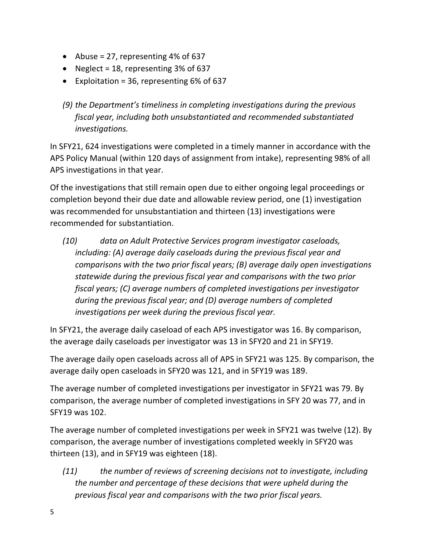- Abuse = 27, representing  $4\%$  of 637
- Neglect = 18, representing 3% of 637
- Exploitation = 36, representing  $6\%$  of  $637$
- *(9) the Department's timeliness in completing investigations during the previous fiscal year, including both unsubstantiated and recommended substantiated investigations.*

In SFY21, 624 investigations were completed in a timely manner in accordance with the APS Policy Manual (within 120 days of assignment from intake), representing 98% of all APS investigations in that year.

Of the investigations that still remain open due to either ongoing legal proceedings or completion beyond their due date and allowable review period, one (1) investigation was recommended for unsubstantiation and thirteen (13) investigations were recommended for substantiation.

*(10) data on Adult Protective Services program investigator caseloads, including: (A) average daily caseloads during the previous fiscal year and comparisons with the two prior fiscal years; (B) average daily open investigations statewide during the previous fiscal year and comparisons with the two prior fiscal years; (C) average numbers of completed investigations per investigator during the previous fiscal year; and (D) average numbers of completed investigations per week during the previous fiscal year.*

In SFY21, the average daily caseload of each APS investigator was 16. By comparison, the average daily caseloads per investigator was 13 in SFY20 and 21 in SFY19.

The average daily open caseloads across all of APS in SFY21 was 125. By comparison, the average daily open caseloads in SFY20 was 121, and in SFY19 was 189.

The average number of completed investigations per investigator in SFY21 was 79. By comparison, the average number of completed investigations in SFY 20 was 77, and in SFY19 was 102.

The average number of completed investigations per week in SFY21 was twelve (12). By comparison, the average number of investigations completed weekly in SFY20 was thirteen (13), and in SFY19 was eighteen (18).

*(11) the number of reviews of screening decisions not to investigate, including the number and percentage of these decisions that were upheld during the previous fiscal year and comparisons with the two prior fiscal years.*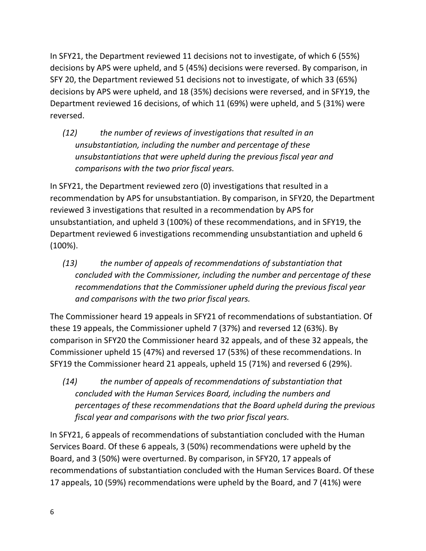In SFY21, the Department reviewed 11 decisions not to investigate, of which 6 (55%) decisions by APS were upheld, and 5 (45%) decisions were reversed. By comparison, in SFY 20, the Department reviewed 51 decisions not to investigate, of which 33 (65%) decisions by APS were upheld, and 18 (35%) decisions were reversed, and in SFY19, the Department reviewed 16 decisions, of which 11 (69%) were upheld, and 5 (31%) were reversed.

*(12) the number of reviews of investigations that resulted in an unsubstantiation, including the number and percentage of these unsubstantiations that were upheld during the previous fiscal year and comparisons with the two prior fiscal years.*

In SFY21, the Department reviewed zero (0) investigations that resulted in a recommendation by APS for unsubstantiation. By comparison, in SFY20, the Department reviewed 3 investigations that resulted in a recommendation by APS for unsubstantiation, and upheld 3 (100%) of these recommendations, and in SFY19, the Department reviewed 6 investigations recommending unsubstantiation and upheld 6 (100%).

*(13) the number of appeals of recommendations of substantiation that concluded with the Commissioner, including the number and percentage of these recommendations that the Commissioner upheld during the previous fiscal year and comparisons with the two prior fiscal years.*

The Commissioner heard 19 appeals in SFY21 of recommendations of substantiation. Of these 19 appeals, the Commissioner upheld 7 (37%) and reversed 12 (63%). By comparison in SFY20 the Commissioner heard 32 appeals, and of these 32 appeals, the Commissioner upheld 15 (47%) and reversed 17 (53%) of these recommendations. In SFY19 the Commissioner heard 21 appeals, upheld 15 (71%) and reversed 6 (29%).

*(14) the number of appeals of recommendations of substantiation that concluded with the Human Services Board, including the numbers and percentages of these recommendations that the Board upheld during the previous fiscal year and comparisons with the two prior fiscal years.*

In SFY21, 6 appeals of recommendations of substantiation concluded with the Human Services Board. Of these 6 appeals, 3 (50%) recommendations were upheld by the Board, and 3 (50%) were overturned. By comparison, in SFY20, 17 appeals of recommendations of substantiation concluded with the Human Services Board. Of these 17 appeals, 10 (59%) recommendations were upheld by the Board, and 7 (41%) were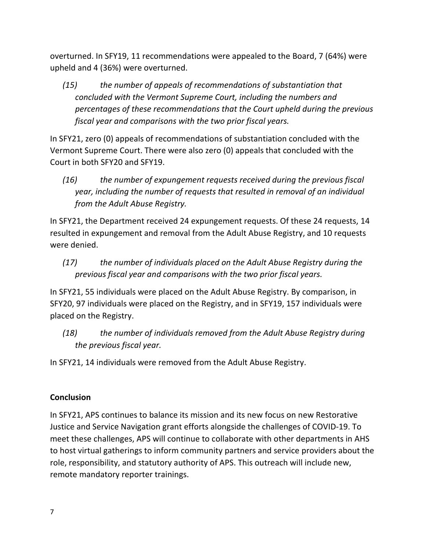overturned. In SFY19, 11 recommendations were appealed to the Board, 7 (64%) were upheld and 4 (36%) were overturned.

*(15) the number of appeals of recommendations of substantiation that concluded with the Vermont Supreme Court, including the numbers and percentages of these recommendations that the Court upheld during the previous fiscal year and comparisons with the two prior fiscal years.*

In SFY21, zero (0) appeals of recommendations of substantiation concluded with the Vermont Supreme Court. There were also zero (0) appeals that concluded with the Court in both SFY20 and SFY19.

*(16) the number of expungement requests received during the previous fiscal year, including the number of requests that resulted in removal of an individual from the Adult Abuse Registry.* 

In SFY21, the Department received 24 expungement requests. Of these 24 requests, 14 resulted in expungement and removal from the Adult Abuse Registry, and 10 requests were denied.

*(17) the number of individuals placed on the Adult Abuse Registry during the previous fiscal year and comparisons with the two prior fiscal years.*

In SFY21, 55 individuals were placed on the Adult Abuse Registry. By comparison, in SFY20, 97 individuals were placed on the Registry, and in SFY19, 157 individuals were placed on the Registry.

*(18) the number of individuals removed from the Adult Abuse Registry during the previous fiscal year.*

In SFY21, 14 individuals were removed from the Adult Abuse Registry.

## **Conclusion**

In SFY21, APS continues to balance its mission and its new focus on new Restorative Justice and Service Navigation grant efforts alongside the challenges of COVID-19. To meet these challenges, APS will continue to collaborate with other departments in AHS to host virtual gatherings to inform community partners and service providers about the role, responsibility, and statutory authority of APS. This outreach will include new, remote mandatory reporter trainings.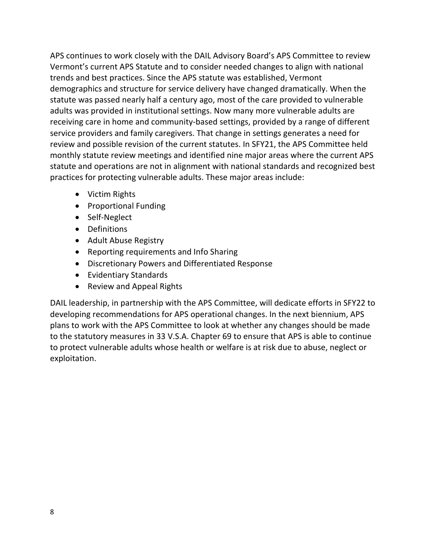APS continues to work closely with the DAIL Advisory Board's APS Committee to review Vermont's current APS Statute and to consider needed changes to align with national trends and best practices. Since the APS statute was established, Vermont demographics and structure for service delivery have changed dramatically. When the statute was passed nearly half a century ago, most of the care provided to vulnerable adults was provided in institutional settings. Now many more vulnerable adults are receiving care in home and community-based settings, provided by a range of different service providers and family caregivers. That change in settings generates a need for review and possible revision of the current statutes. In SFY21, the APS Committee held monthly statute review meetings and identified nine major areas where the current APS statute and operations are not in alignment with national standards and recognized best practices for protecting vulnerable adults. These major areas include:

- Victim Rights
- Proportional Funding
- Self-Neglect
- Definitions
- Adult Abuse Registry
- Reporting requirements and Info Sharing
- Discretionary Powers and Differentiated Response
- Evidentiary Standards
- Review and Appeal Rights

DAIL leadership, in partnership with the APS Committee, will dedicate efforts in SFY22 to developing recommendations for APS operational changes. In the next biennium, APS plans to work with the APS Committee to look at whether any changes should be made to the statutory measures in 33 V.S.A. Chapter 69 to ensure that APS is able to continue to protect vulnerable adults whose health or welfare is at risk due to abuse, neglect or exploitation.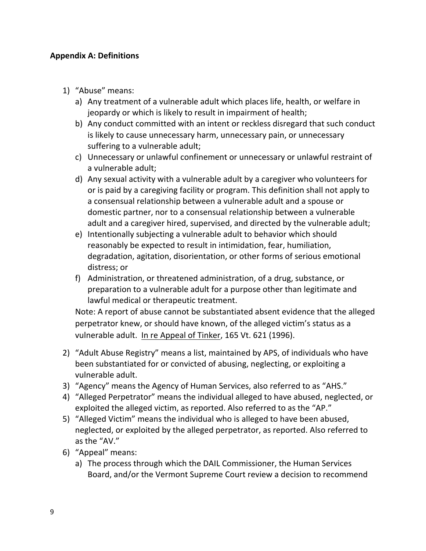### **Appendix A: Definitions**

- 1) "Abuse" means:
	- a) Any treatment of a vulnerable adult which places life, health, or welfare in jeopardy or which is likely to result in impairment of health;
	- b) Any conduct committed with an intent or reckless disregard that such conduct is likely to cause unnecessary harm, unnecessary pain, or unnecessary suffering to a vulnerable adult;
	- c) Unnecessary or unlawful confinement or unnecessary or unlawful restraint of a vulnerable adult;
	- d) Any sexual activity with a vulnerable adult by a caregiver who volunteers for or is paid by a caregiving facility or program. This definition shall not apply to a consensual relationship between a vulnerable adult and a spouse or domestic partner, nor to a consensual relationship between a vulnerable adult and a caregiver hired, supervised, and directed by the vulnerable adult;
	- e) Intentionally subjecting a vulnerable adult to behavior which should reasonably be expected to result in intimidation, fear, humiliation, degradation, agitation, disorientation, or other forms of serious emotional distress; or
	- f) Administration, or threatened administration, of a drug, substance, or preparation to a vulnerable adult for a purpose other than legitimate and lawful medical or therapeutic treatment.

Note: A report of abuse cannot be substantiated absent evidence that the alleged perpetrator knew, or should have known, of the alleged victim's status as a vulnerable adult. In re Appeal of Tinker, 165 Vt. 621 (1996).

- 2) "Adult Abuse Registry" means a list, maintained by APS, of individuals who have been substantiated for or convicted of abusing, neglecting, or exploiting a vulnerable adult.
- 3) "Agency" means the Agency of Human Services, also referred to as "AHS."
- 4) "Alleged Perpetrator" means the individual alleged to have abused, neglected, or exploited the alleged victim, as reported. Also referred to as the "AP."
- 5) "Alleged Victim" means the individual who is alleged to have been abused, neglected, or exploited by the alleged perpetrator, as reported. Also referred to as the "AV."
- 6) "Appeal" means:
	- a) The process through which the DAIL Commissioner, the Human Services Board, and/or the Vermont Supreme Court review a decision to recommend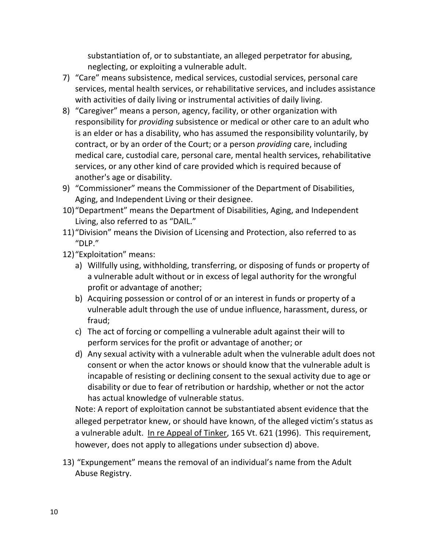substantiation of, or to substantiate, an alleged perpetrator for abusing, neglecting, or exploiting a vulnerable adult.

- 7) "Care" means subsistence, medical services, custodial services, personal care services, mental health services, or rehabilitative services, and includes assistance with activities of daily living or instrumental activities of daily living.
- 8) "Caregiver" means a person, agency, facility, or other organization with responsibility for *providing* subsistence or medical or other care to an adult who is an elder or has a disability, who has assumed the responsibility voluntarily, by contract, or by an order of the Court; or a person *providing* care, including medical care, custodial care, personal care, mental health services, rehabilitative services, or any other kind of care provided which is required because of another's age or disability.
- 9) "Commissioner" means the Commissioner of the Department of Disabilities, Aging, and Independent Living or their designee.
- 10)"Department" means the Department of Disabilities, Aging, and Independent Living, also referred to as "DAIL."
- 11)"Division" means the Division of Licensing and Protection, also referred to as "DLP."
- 12)"Exploitation" means:
	- a) Willfully using, withholding, transferring, or disposing of funds or property of a vulnerable adult without or in excess of legal authority for the wrongful profit or advantage of another;
	- b) Acquiring possession or control of or an interest in funds or property of a vulnerable adult through the use of undue influence, harassment, duress, or fraud;
	- c) The act of forcing or compelling a vulnerable adult against their will to perform services for the profit or advantage of another; or
	- d) Any sexual activity with a vulnerable adult when the vulnerable adult does not consent or when the actor knows or should know that the vulnerable adult is incapable of resisting or declining consent to the sexual activity due to age or disability or due to fear of retribution or hardship, whether or not the actor has actual knowledge of vulnerable status.

Note: A report of exploitation cannot be substantiated absent evidence that the alleged perpetrator knew, or should have known, of the alleged victim's status as a vulnerable adult. In re Appeal of Tinker, 165 Vt. 621 (1996). This requirement, however, does not apply to allegations under subsection d) above.

13) "Expungement" means the removal of an individual's name from the Adult Abuse Registry.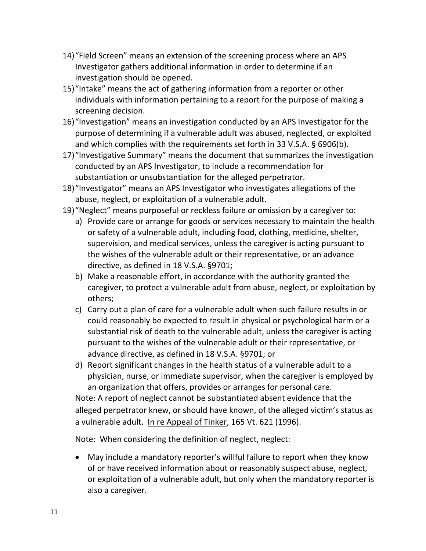- 14)"Field Screen" means an extension of the screening process where an APS Investigator gathers additional information in order to determine if an investigation should be opened.
- 15)"Intake" means the act of gathering information from a reporter or other individuals with information pertaining to a report for the purpose of making a screening decision.
- 16)"Investigation" means an investigation conducted by an APS Investigator for the purpose of determining if a vulnerable adult was abused, neglected, or exploited and which complies with the requirements set forth in 33 V.S.A. § 6906(b).
- 17)"Investigative Summary" means the document that summarizes the investigation conducted by an APS Investigator, to include a recommendation for substantiation or unsubstantiation for the alleged perpetrator.
- 18)"Investigator" means an APS Investigator who investigates allegations of the abuse, neglect, or exploitation of a vulnerable adult.
- 19)"Neglect" means purposeful or reckless failure or omission by a caregiver to:
	- a) Provide care or arrange for goods or services necessary to maintain the health or safety of a vulnerable adult, including food, clothing, medicine, shelter, supervision, and medical services, unless the caregiver is acting pursuant to the wishes of the vulnerable adult or their representative, or an advance directive, as defined in 18 V.S.A. §9701;
	- b) Make a reasonable effort, in accordance with the authority granted the caregiver, to protect a vulnerable adult from abuse, neglect, or exploitation by others;
	- c) Carry out a plan of care for a vulnerable adult when such failure results in or could reasonably be expected to result in physical or psychological harm or a substantial risk of death to the vulnerable adult, unless the caregiver is acting pursuant to the wishes of the vulnerable adult or their representative, or advance directive, as defined in 18 V.S.A. §9701; or
	- d) Report significant changes in the health status of a vulnerable adult to a physician, nurse, or immediate supervisor, when the caregiver is employed by an organization that offers, provides or arranges for personal care.

Note: A report of neglect cannot be substantiated absent evidence that the alleged perpetrator knew, or should have known, of the alleged victim's status as a vulnerable adult. In re Appeal of Tinker, 165 Vt. 621 (1996).

Note: When considering the definition of neglect, neglect:

• May include a mandatory reporter's willful failure to report when they know of or have received information about or reasonably suspect abuse, neglect, or exploitation of a vulnerable adult, but only when the mandatory reporter is also a caregiver.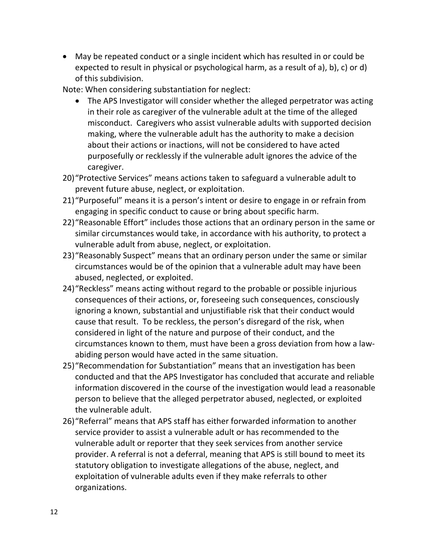• May be repeated conduct or a single incident which has resulted in or could be expected to result in physical or psychological harm, as a result of a), b), c) or d) of this subdivision.

Note: When considering substantiation for neglect:

- The APS Investigator will consider whether the alleged perpetrator was acting in their role as caregiver of the vulnerable adult at the time of the alleged misconduct. Caregivers who assist vulnerable adults with supported decision making, where the vulnerable adult has the authority to make a decision about their actions or inactions, will not be considered to have acted purposefully or recklessly if the vulnerable adult ignores the advice of the caregiver.
- 20)"Protective Services" means actions taken to safeguard a vulnerable adult to prevent future abuse, neglect, or exploitation.
- 21)"Purposeful" means it is a person's intent or desire to engage in or refrain from engaging in specific conduct to cause or bring about specific harm.
- 22)"Reasonable Effort" includes those actions that an ordinary person in the same or similar circumstances would take, in accordance with his authority, to protect a vulnerable adult from abuse, neglect, or exploitation.
- 23)"Reasonably Suspect" means that an ordinary person under the same or similar circumstances would be of the opinion that a vulnerable adult may have been abused, neglected, or exploited.
- 24)"Reckless" means acting without regard to the probable or possible injurious consequences of their actions, or, foreseeing such consequences, consciously ignoring a known, substantial and unjustifiable risk that their conduct would cause that result. To be reckless, the person's disregard of the risk, when considered in light of the nature and purpose of their conduct, and the circumstances known to them, must have been a gross deviation from how a lawabiding person would have acted in the same situation.
- 25)"Recommendation for Substantiation" means that an investigation has been conducted and that the APS Investigator has concluded that accurate and reliable information discovered in the course of the investigation would lead a reasonable person to believe that the alleged perpetrator abused, neglected, or exploited the vulnerable adult.
- 26)"Referral" means that APS staff has either forwarded information to another service provider to assist a vulnerable adult or has recommended to the vulnerable adult or reporter that they seek services from another service provider. A referral is not a deferral, meaning that APS is still bound to meet its statutory obligation to investigate allegations of the abuse, neglect, and exploitation of vulnerable adults even if they make referrals to other organizations.